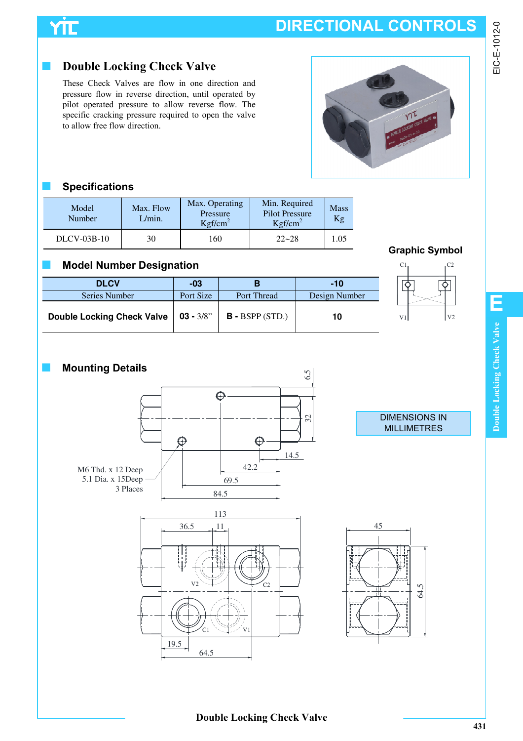## **DIRECTIONAL CONTROLS**

# YTE

### ■ **Double Locking Check Valve**

These Check Valves are flow in one direction and pressure flow in reverse direction, until operated by pilot operated pressure to allow reverse flow. The specific cracking pressure required to open the valve to allow free flow direction.

### ■ **Specifications**

| Model<br><b>Number</b> | Max. Flow<br>L/min. | Max. Operating<br>Pressure<br>Kgf/cm <sup>2</sup> | Min. Required<br><b>Pilot Pressure</b><br>Kgf/cm <sup>2</sup> | <b>Mass</b><br>Kg |
|------------------------|---------------------|---------------------------------------------------|---------------------------------------------------------------|-------------------|
| $DLCV-03B-10$          | 30                  | 160                                               | $22 - 28$                                                     | 1.05              |

### ■ **Model Number Designation**

| <b>DLCV</b>                            | $-03$     |                    | $-10$         |     |                |
|----------------------------------------|-----------|--------------------|---------------|-----|----------------|
| Series Number                          | Port Size | <b>Port Thread</b> | Design Number |     |                |
| Double Locking Check Valve   03 - 3/8" |           | $B - BSPP (STD.)$  | 10            | V11 | V <sub>2</sub> |





### ■ **Mounting Details** 6.5  $\bigodot$ 32  $\bigcirc$ ∩ 14.5 42.2 M6 Thd. x 12 Deep 5.1 Dia. x 15Deep 69.5 3 Places 84.5 113 36.5 11  $\overline{v_2}$   $\leftarrow$   $\overline{c_2}$

C1

64.5

19.5

### DIMENSIONS IN MILLIMETRES



### **Double Locking Check Valve**

V1